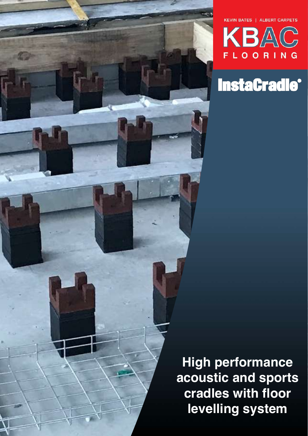



## **InstaCradle<sup>®</sup>**

**High performance acoustic and sports cradles with floor levelling system**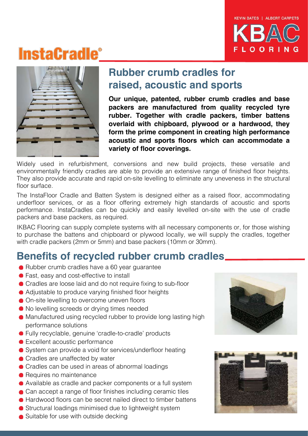

## **InstaGradle®**



### **Rubber crumb cradles for raised, acoustic and sports**

**Our unique, patented, rubber crumb cradles and base packers are manufactured from quality recycled tyre rubber. Together with cradle packers, timber battens overlaid with chipboard, plywood or a hardwood, they form the prime component in creating high performance acoustic and sports floors which can accommodate a variety of floor coverings.** 

Widely used in refurbishment, conversions and new build projects, these versatile and environmentally friendly cradles are able to provide an extensive range of finished floor heights. They also provide accurate and rapid on-site levelling to eliminate any uneveness in the structural floor surface.

The InstaFloor Cradle and Batten System is designed either as a raised floor, accommodating underfloor services, or as a floor offering extremely high standards of acoustic and sports performance. InstaCradles can be quickly and easily levelled on-site with the use of cradle packers and base packers, as required.

IKBAC Flooring can supply complete systems with all necessary components or, for those wishing to purchase the battens and chipboard or plywood locally, we will supply the cradles, together with cradle packers (2mm or 5mm) and base packers (10mm or 30mm).

### **Benefits of recycled rubber crumb cradles**

- Rubber crumb cradles have a 60 year guarantee
- Fast, easy and cost-effective to install
- Cradles are loose laid and do not require fixing to sub-floor
- Adjustable to produce varying finished floor heights
- On-site levelling to overcome uneven floors
- $\bullet$  No levelling screeds or drying times needed
- Manufactured using recycled rubber to provide long lasting high performance solutions
- Fully recyclable, genuine 'cradle-to-cradle' products
- Excellent acoustic performance
- System can provide a void for services/underfloor heating
- Cradles are unaffected by water
- Cradles can be used in areas of abnormal loadings
- Requires no maintenance
- Available as cradle and packer components or a full system
- Can accept a range of floor finishes including ceramic tiles
- Hardwood floors can be secret nailed direct to timber battens
- Structural loadings minimised due to lightweight system
- Suitable for use with outside decking



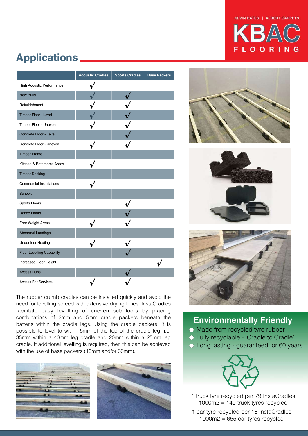#### KEVIN BATES | ALBERT CARPETS



### **Applications**

|                                   | <b>Acoustic Cradles</b> | <b>Sports Cradles</b> | <b>Base Packers</b> |
|-----------------------------------|-------------------------|-----------------------|---------------------|
| High Acoustic Performance         |                         |                       |                     |
| <b>New Build</b>                  |                         |                       |                     |
| Refurbishment                     |                         |                       |                     |
| <b>Timber Floor - Level</b>       |                         |                       |                     |
| Timber Floor - Uneven             |                         |                       |                     |
| Concrete Floor - Level            |                         |                       |                     |
| Concrete Floor - Uneven           |                         |                       |                     |
| <b>Timber Frame</b>               |                         |                       |                     |
| Kitchen & Bathrooms Areas         |                         |                       |                     |
| <b>Timber Decking</b>             |                         |                       |                     |
| <b>Commercial Installations</b>   |                         |                       |                     |
| Schools                           |                         |                       |                     |
| Sports Floors                     |                         |                       |                     |
| <b>Dance Floors</b>               |                         |                       |                     |
| Free Weight Areas                 |                         |                       |                     |
| <b>Abnormal Loadings</b>          |                         |                       |                     |
| <b>Underfloor Heating</b>         |                         |                       |                     |
| <b>Floor Levelling Capability</b> |                         |                       |                     |
| Increased Floor Height            |                         |                       |                     |
| <b>Access Runs</b>                |                         |                       |                     |
| <b>Access For Services</b>        |                         |                       |                     |

The rubber crumb cradles can be installed quickly and avoid the need for levelling screed with extensive drying times. InstaCradles facilitate easy levelling of uneven sub-floors by placing combinations of 2mm and 5mm cradle packers beneath the battens within the cradle legs. Using the cradle packers, it is possible to level to within 5mm of the top of the cradle leg, i.e. 35mm within a 40mm leg cradle and 20mm within a 25mm leg cradle. If additional levelling is required, then this can be achieved with the use of base packers (10mm and/or 30mm).









### **Environmentally Friendly**

- Made from recycled tyre rubber
- Fully recyclable 'Cradle to Cradle'
- Long lasting guaranteed for 60 years



1 truck tyre recycled per 79 InstaCradles 1000m2 = 149 truck tyres recycled

1 car tyre recycled per 18 InstaCradles  $1000m2 = 655$  car tyres recycled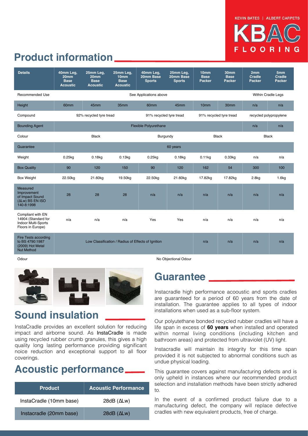# LOORIN

### **Product information**

| <b>Details</b>                                                                              | 40mm Leq.<br>20 <sub>mm</sub><br><b>Base</b><br><b>Acoustic</b> | 25mm Leg.<br>20 <sub>mm</sub><br><b>Base</b><br><b>Acoustic</b> | 25mm Leg.<br>10 <sub>mm</sub><br><b>Base</b><br><b>Acoustic</b> | 40mm Leg.<br>20mm Base<br><b>Sports</b> | 25mm Leg.<br>20mm Base<br><b>Sports</b> | 10mm<br><b>Base</b><br>Packer | 30mm<br><b>Base</b><br>Packer | 2mm<br>Cradle<br><b>Packer</b> | 5mm<br>Cradle<br><b>Packer</b> |
|---------------------------------------------------------------------------------------------|-----------------------------------------------------------------|-----------------------------------------------------------------|-----------------------------------------------------------------|-----------------------------------------|-----------------------------------------|-------------------------------|-------------------------------|--------------------------------|--------------------------------|
| <b>Recommended Use</b>                                                                      | See Applications above                                          |                                                                 |                                                                 |                                         |                                         |                               |                               | <b>Within Cradle Legs</b>      |                                |
| Height                                                                                      | 60 <sub>mm</sub>                                                | 45mm                                                            | 35mm                                                            | 60 <sub>mm</sub>                        | 45mm                                    | 10 <sub>mm</sub>              | 30 <sub>mm</sub>              | n/a                            | n/a                            |
| Compound                                                                                    | 92% recycled tyre tread                                         |                                                                 |                                                                 | 91% recycled tyre tread                 |                                         | 91% recycled tyre tread       |                               | recycled polypropylene         |                                |
| <b>Bounding Agent</b>                                                                       |                                                                 |                                                                 |                                                                 | <b>Flexible Polyurethane</b>            |                                         |                               |                               | n/a                            | n/a                            |
| Colour                                                                                      | <b>Black</b>                                                    |                                                                 |                                                                 | Burgundy                                |                                         | <b>Black</b>                  |                               | <b>Black</b>                   |                                |
| Guarantee                                                                                   | 60 years                                                        |                                                                 |                                                                 |                                         |                                         |                               |                               |                                |                                |
| Weight                                                                                      | $0.25$ kg                                                       | $0.18$ kg                                                       | 0.13kg                                                          | $0.25$ kg                               | $0.18$ kg                               | $0.11$ kg                     | 0.33kg                        | n/a                            | n/a                            |
| <b>Box Quality</b>                                                                          | 90                                                              | 120                                                             | 150                                                             | 90                                      | 120                                     | 162                           | 54                            | 300                            | 100                            |
| <b>Box Weight</b>                                                                           | 22.50kg                                                         | 21.60kg                                                         | 19.50kg                                                         | 22.50kg                                 | 21.60kg                                 | 17.82kg                       | 17.82kg                       | 2.8kg                          | 1.6kg                          |
| <b>Measured</b><br>Improvement<br>of Impact Sound<br>(ALw) BS EN ISO<br>140-8:1998          | 28                                                              | 28                                                              | 28                                                              | n/a                                     | n/a                                     | n/a                           | n/a                           | n/a                            | n/a                            |
| Compliant with EN<br>14904 (Standard for<br><b>Indoor Multi-Sports</b><br>Floors in Europe) | n/a                                                             | n/a                                                             | n/a                                                             | Yes                                     | Yes                                     | n/a                           | n/a                           | n/a                            | n/a                            |
| Fire Tests according<br>to BS 4790:1987<br>(2009) Hot Metal                                 | Low Classification / Radius of Effects of Ignition              |                                                                 |                                                                 |                                         |                                         | n/a                           | n/a                           | n/a                            | n/a                            |

Nut Method



### **Sound insulation**

InstaCradle provides an excellent solution for reducing impact and airborne sound. As InstaCradle is made using recycled rubber crumb granules, this gives a high quality long lasting performance providing significant noice reduction and exceptional support to all floor coverings.

### **Acoustic performance**

| <b>Product</b>          | <b>Acoustic Performance</b> |  |  |
|-------------------------|-----------------------------|--|--|
| InstaCradle (10mm base) | $28dB$ ( $\Delta Lw$ )      |  |  |
| Instacradle (20mm base) | $28dB$ ( $\Delta Lw$ )      |  |  |

Odour **No Objectional Odour** No Objectional Odour

### **Guarantee**

Instacradle high performance acooustic and sports cradles are guaranteed for a period of 60 years from the date of installation. The guarantee applies to all types of indoor installations when used as a sub-floor system.

Our polyutethane bonded recycled rubber cradles will have a life span in excess of **60 years** when installed and operated within normal living conditions (including kitchen and bathroom areas) and protected from ultraviolet (UV) light.

Instacradle will maintain its integrity for this time span provided it is not subjected to abnormal conditions such as undue physical loading.

This guarantee covers against manufacturing defects and is only upheld in instances where our recommended product selection and installation methods have been strictly adhered to.

In the event of a confirmed product failure due to a manufacturing defect, the company will replace defective cradles with new equivalent products, free of charge.